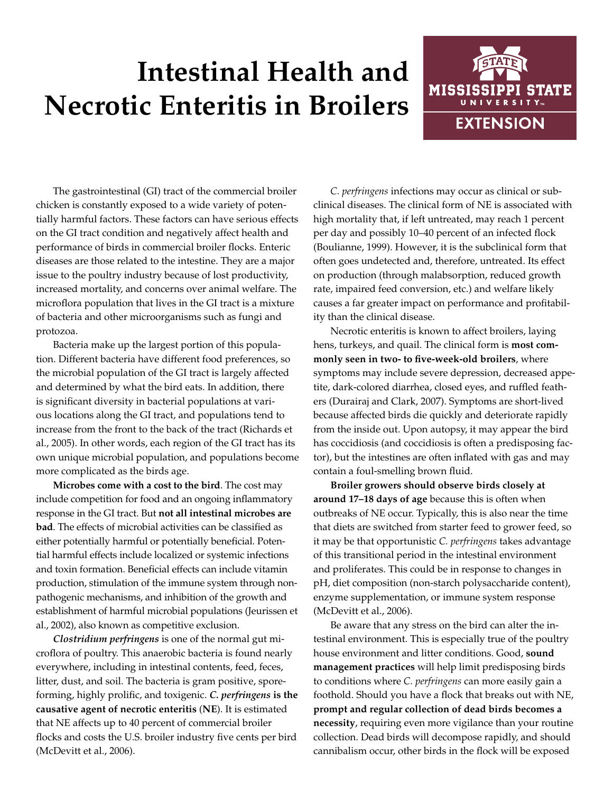## **Intestinal Health and Necrotic Enteritis in Broilers**



The gastrointestinal (GI) tract of the commercial broiler chicken is constantly exposed to a wide variety of potentially harmful factors. These factors can have serious effects on the GI tract condition and negatively affect health and performance of birds in commercial broiler flocks. Enteric diseases are those related to the intestine. They are a major issue to the poultry industry because of lost productivity, increased mortality, and concerns over animal welfare. The microflora population that lives in the GI tract is a mixture of bacteria and other microorganisms such as fungi and protozoa.

Bacteria make up the largest portion of this population. Different bacteria have different food preferences, so the microbial population of the GI tract is largely affected and determined by what the bird eats. In addition, there is significant diversity in bacterial populations at various locations along the GI tract, and populations tend to increase from the front to the back of the tract (Richards et al., 2005). In other words, each region of the GI tract has its own unique microbial population, and populations become more complicated as the birds age.

**Microbes come with a cost to the bird**. The cost may include competition for food and an ongoing inflammatory response in the GI tract. But **not all intestinal microbes are bad**. The effects of microbial activities can be classified as either potentially harmful or potentially beneficial. Potential harmful effects include localized or systemic infections and toxin formation. Beneficial effects can include vitamin production, stimulation of the immune system through nonpathogenic mechanisms, and inhibition of the growth and establishment of harmful microbial populations (Jeurissen et al., 2002), also known as competitive exclusion.

*Clostridium perfringens* is one of the normal gut microflora of poultry. This anaerobic bacteria is found nearly everywhere, including in intestinal contents, feed, feces, litter, dust, and soil. The bacteria is gram positive, sporeforming, highly prolific, and toxigenic. *C. perfringens* **is the causative agent of necrotic enteritis** (**NE**). It is estimated that NE affects up to 40 percent of commercial broiler flocks and costs the U.S. broiler industry five cents per bird (McDevitt et al., 2006).

*C. perfringens* infections may occur as clinical or subclinical diseases. The clinical form of NE is associated with high mortality that, if left untreated, may reach 1 percent per day and possibly 10–40 percent of an infected flock (Boulianne, 1999). However, it is the subclinical form that often goes undetected and, therefore, untreated. Its effect on production (through malabsorption, reduced growth rate, impaired feed conversion, etc.) and welfare likely causes a far greater impact on performance and profitability than the clinical disease.

Necrotic enteritis is known to affect broilers, laying hens, turkeys, and quail. The clinical form is **most commonly seen in two- to five-week-old broilers**, where symptoms may include severe depression, decreased appetite, dark-colored diarrhea, closed eyes, and ruffled feathers (Durairaj and Clark, 2007). Symptoms are short-lived because affected birds die quickly and deteriorate rapidly from the inside out. Upon autopsy, it may appear the bird has coccidiosis (and coccidiosis is often a predisposing factor), but the intestines are often inflated with gas and may contain a foul-smelling brown fluid.

**Broiler growers should observe birds closely at around 17–18 days of age** because this is often when outbreaks of NE occur. Typically, this is also near the time that diets are switched from starter feed to grower feed, so it may be that opportunistic *C. perfringens* takes advantage of this transitional period in the intestinal environment and proliferates. This could be in response to changes in pH, diet composition (non-starch polysaccharide content), enzyme supplementation, or immune system response (McDevitt et al., 2006).

Be aware that any stress on the bird can alter the intestinal environment. This is especially true of the poultry house environment and litter conditions. Good, **sound management practices** will help limit predisposing birds to conditions where *C. perfringens* can more easily gain a foothold. Should you have a flock that breaks out with NE, **prompt and regular collection of dead birds becomes a necessity**, requiring even more vigilance than your routine collection. Dead birds will decompose rapidly, and should cannibalism occur, other birds in the flock will be exposed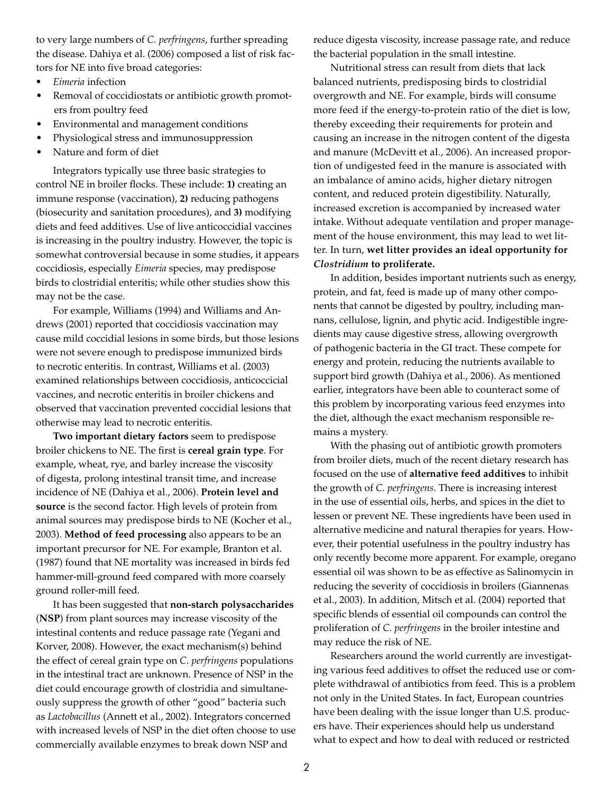to very large numbers of *C. perfringens*, further spreading the disease. Dahiya et al. (2006) composed a list of risk factors for NE into five broad categories:

- *• Eimeria* infection
- Removal of coccidiostats or antibiotic growth promoters from poultry feed
- Environmental and management conditions
- Physiological stress and immunosuppression
- Nature and form of diet

Integrators typically use three basic strategies to control NE in broiler flocks. These include: **1)** creating an immune response (vaccination), **2)** reducing pathogens (biosecurity and sanitation procedures), and **3)** modifying diets and feed additives. Use of live anticoccidial vaccines is increasing in the poultry industry. However, the topic is somewhat controversial because in some studies, it appears coccidiosis, especially *Eimeria* species, may predispose birds to clostridial enteritis; while other studies show this may not be the case.

For example, Williams (1994) and Williams and Andrews (2001) reported that coccidiosis vaccination may cause mild coccidial lesions in some birds, but those lesions were not severe enough to predispose immunized birds to necrotic enteritis. In contrast, Williams et al. (2003) examined relationships between coccidiosis, anticoccicial vaccines, and necrotic enteritis in broiler chickens and observed that vaccination prevented coccidial lesions that otherwise may lead to necrotic enteritis.

**Two important dietary factors** seem to predispose broiler chickens to NE. The first is **cereal grain type**. For example, wheat, rye, and barley increase the viscosity of digesta, prolong intestinal transit time, and increase incidence of NE (Dahiya et al., 2006). **Protein level and source** is the second factor. High levels of protein from animal sources may predispose birds to NE (Kocher et al., 2003). **Method of feed processing** also appears to be an important precursor for NE. For example, Branton et al. (1987) found that NE mortality was increased in birds fed hammer-mill-ground feed compared with more coarsely ground roller-mill feed.

It has been suggested that **non-starch polysaccharides** (**NSP**) from plant sources may increase viscosity of the intestinal contents and reduce passage rate (Yegani and Korver, 2008). However, the exact mechanism(s) behind the effect of cereal grain type on *C. perfringens* populations in the intestinal tract are unknown. Presence of NSP in the diet could encourage growth of clostridia and simultaneously suppress the growth of other "good" bacteria such as *Lactobacillus* (Annett et al., 2002). Integrators concerned with increased levels of NSP in the diet often choose to use commercially available enzymes to break down NSP and

reduce digesta viscosity, increase passage rate, and reduce the bacterial population in the small intestine.

 Nutritional stress can result from diets that lack balanced nutrients, predisposing birds to clostridial overgrowth and NE. For example, birds will consume more feed if the energy-to-protein ratio of the diet is low, thereby exceeding their requirements for protein and causing an increase in the nitrogen content of the digesta and manure (McDevitt et al., 2006). An increased proportion of undigested feed in the manure is associated with an imbalance of amino acids, higher dietary nitrogen content, and reduced protein digestibility. Naturally, increased excretion is accompanied by increased water intake. Without adequate ventilation and proper management of the house environment, this may lead to wet litter. In turn, **wet litter provides an ideal opportunity for**  *Clostridium* **to proliferate.**

 In addition, besides important nutrients such as energy, protein, and fat, feed is made up of many other components that cannot be digested by poultry, including mannans, cellulose, lignin, and phytic acid. Indigestible ingredients may cause digestive stress, allowing overgrowth of pathogenic bacteria in the GI tract. These compete for energy and protein, reducing the nutrients available to support bird growth (Dahiya et al., 2006). As mentioned earlier, integrators have been able to counteract some of this problem by incorporating various feed enzymes into the diet, although the exact mechanism responsible remains a mystery.

 With the phasing out of antibiotic growth promoters from broiler diets, much of the recent dietary research has focused on the use of **alternative feed additives** to inhibit the growth of *C. perfringens*. There is increasing interest in the use of essential oils, herbs, and spices in the diet to lessen or prevent NE. These ingredients have been used in alternative medicine and natural therapies for years. However, their potential usefulness in the poultry industry has only recently become more apparent. For example, oregano essential oil was shown to be as effective as Salinomycin in reducing the severity of coccidiosis in broilers (Giannenas et al., 2003). In addition, Mitsch et al. (2004) reported that specific blends of essential oil compounds can control the proliferation of *C. perfringens* in the broiler intestine and may reduce the risk of NE.

 Researchers around the world currently are investigating various feed additives to offset the reduced use or complete withdrawal of antibiotics from feed. This is a problem not only in the United States. In fact, European countries have been dealing with the issue longer than U.S. producers have. Their experiences should help us understand what to expect and how to deal with reduced or restricted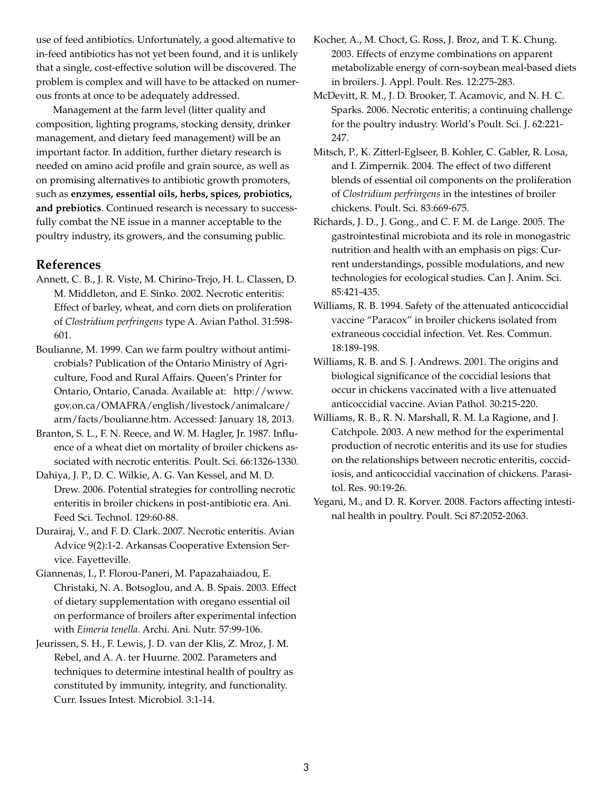use of feed antibiotics. Unfortunately, a good alternative to in-feed antibiotics has not yet been found, and it is unlikely that a single, cost-effective solution will be discovered. The problem is complex and will have to be attacked on numerous fronts at once to be adequately addressed.

Management at the farm level (litter quality and composition, lighting programs, stocking density, drinker management, and dietary feed management) will be an important factor. In addition, further dietary research is needed on amino acid profile and grain source, as well as on promising alternatives to antibiotic growth promoters, such as **enzymes, essential oils, herbs, spices, probiotics, and prebiotics**. Continued research is necessary to successfully combat the NE issue in a manner acceptable to the poultry industry, its growers, and the consuming public.

## **References**

- Annett, C. B., J. R. Viste, M. Chirino-Trejo, H. L. Classen, D. M. Middleton, and E. Sinko. 2002. Necrotic enteritis: Effect of barley, wheat, and corn diets on proliferation of *Clostridium perfringens* type A. Avian Pathol. 31:598- 601.
- Boulianne, M. 1999. Can we farm poultry without antimicrobials? Publication of the Ontario Ministry of Agriculture, Food and Rural Affairs. Queen's Printer for Ontario, Ontario, Canada. Available at: http://www. gov.on.ca/OMAFRA/english/livestock/animalcare/ arm/facts/boulianne.htm. Accessed: January 18, 2013.
- Branton, S. L., F. N. Reece, and W. M. Hagler, Jr. 1987. Influence of a wheat diet on mortality of broiler chickens associated with necrotic enteritis. Poult. Sci. 66:1326-1330.
- Dahiya, J. P., D. C. Wilkie, A. G. Van Kessel, and M. D. Drew. 2006. Potential strategies for controlling necrotic enteritis in broiler chickens in post-antibiotic era. Ani. Feed Sci. Technol. 129:60-88.
- Durairaj, V., and F. D. Clark. 2007. Necrotic enteritis. Avian Advice 9(2):1-2. Arkansas Cooperative Extension Service. Fayetteville.
- Giannenas, I., P. Florou-Paneri, M. Papazahaiadou, E. Christaki, N. A. Botsoglou, and A. B. Spais. 2003. Effect of dietary supplementation with oregano essential oil on performance of broilers after experimental infection with *Eimeria tenella*. Archi. Ani. Nutr. 57:99-106.
- Jeurissen, S. H., F. Lewis, J. D. van der Klis, Z. Mroz, J. M. Rebel, and A. A. ter Huurne. 2002. Parameters and techniques to determine intestinal health of poultry as constituted by immunity, integrity, and functionality. Curr. Issues Intest. Microbiol. 3:1-14.
- Kocher, A., M. Choct, G. Ross, J. Broz, and T. K. Chung. 2003. Effects of enzyme combinations on apparent metabolizable energy of corn-soybean meal-based diets in broilers. J. Appl. Poult. Res. 12:275-283.
- McDevitt, R. M., J. D. Brooker, T. Acamovic, and N. H. C. Sparks. 2006. Necrotic enteritis; a continuing challenge for the poultry industry. World's Poult. Sci. J. 62:221- 247.
- Mitsch, P., K. Zitterl-Eglseer, B. Kohler, C. Gabler, R. Losa, and I. Zimpernik. 2004. The effect of two different blends of essential oil components on the proliferation of *Clostridium perfringens* in the intestines of broiler chickens. Poult. Sci. 83:669-675.
- Richards, J. D., J. Gong., and C. F. M. de Lange. 2005. The gastrointestinal microbiota and its role in monogastric nutrition and health with an emphasis on pigs: Current understandings, possible modulations, and new technologies for ecological studies. Can J. Anim. Sci. 85:421-435.
- Williams, R. B. 1994. Safety of the attenuated anticoccidial vaccine "Paracox" in broiler chickens isolated from extraneous coccidial infection. Vet. Res. Commun. 18:189-198.
- Williams, R. B. and S. J. Andrews. 2001. The origins and biological significance of the coccidial lesions that occur in chickens vaccinated with a live attenuated anticoccidial vaccine. Avian Pathol. 30:215-220.
- Williams, R. B., R. N. Marshall, R. M. La Ragione, and J. Catchpole. 2003. A new method for the experimental production of necrotic enteritis and its use for studies on the relationships between necrotic enteritis, coccidiosis, and anticoccidial vaccination of chickens. Parasitol. Res. 90:19-26.
- Yegani, M., and D. R. Korver. 2008. Factors affecting intestinal health in poultry. Poult. Sci 87:2052-2063.